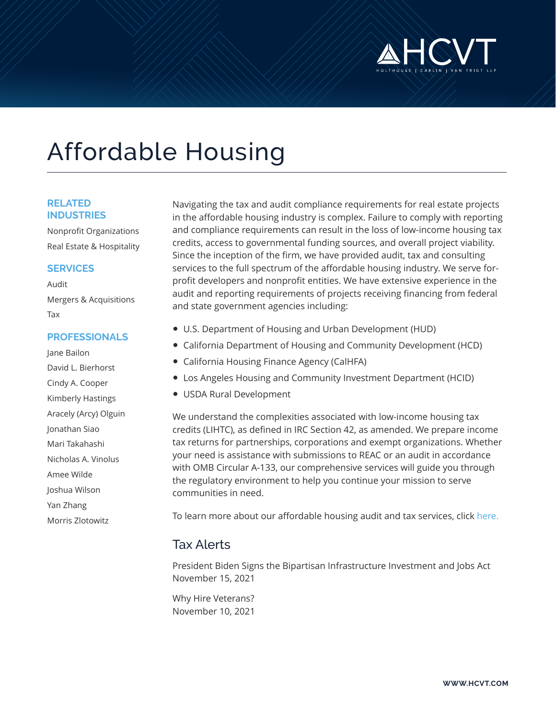

# Affordable Housing

#### **RELATED INDUSTRIES**

Nonprofit Organizations Real Estate & Hospitality

#### **SERVICES**

Audit Mergers & Acquisitions Tax

#### **PROFESSIONALS**

Jane Bailon David L. Bierhorst Cindy A. Cooper Kimberly Hastings Aracely (Arcy) Olguin Jonathan Siao Mari Takahashi Nicholas A. Vinolus Amee Wilde Joshua Wilson Yan Zhang Morris Zlotowitz

Navigating the tax and audit compliance requirements for real estate projects in the affordable housing industry is complex. Failure to comply with reporting and compliance requirements can result in the loss of low-income housing tax credits, access to governmental funding sources, and overall project viability. Since the inception of the firm, we have provided audit, tax and consulting services to the full spectrum of the affordable housing industry. We serve forprofit developers and nonprofit entities. We have extensive experience in the audit and reporting requirements of projects receiving financing from federal and state government agencies including:

- U.S. Department of Housing and Urban Development (HUD)
- California Department of Housing and Community Development (HCD)
- California Housing Finance Agency (CalHFA)
- Los Angeles Housing and Community Investment Department (HCID)
- USDA Rural Development

We understand the complexities associated with low-income housing tax credits (LIHTC), as defined in IRC Section 42, as amended. We prepare income tax returns for partnerships, corporations and exempt organizations. Whether your need is assistance with submissions to REAC or an audit in accordance with OMB Circular A-133, our comprehensive services will guide you through the regulatory environment to help you continue your mission to serve communities in need.

To learn more about our affordable housing audit and tax services, click [here.](https://www.hcvt.com/affordable-housing.html)

### Tax Alerts

President Biden Signs the Bipartisan Infrastructure Investment and Jobs Act November 15, 2021

Why Hire Veterans? November 10, 2021